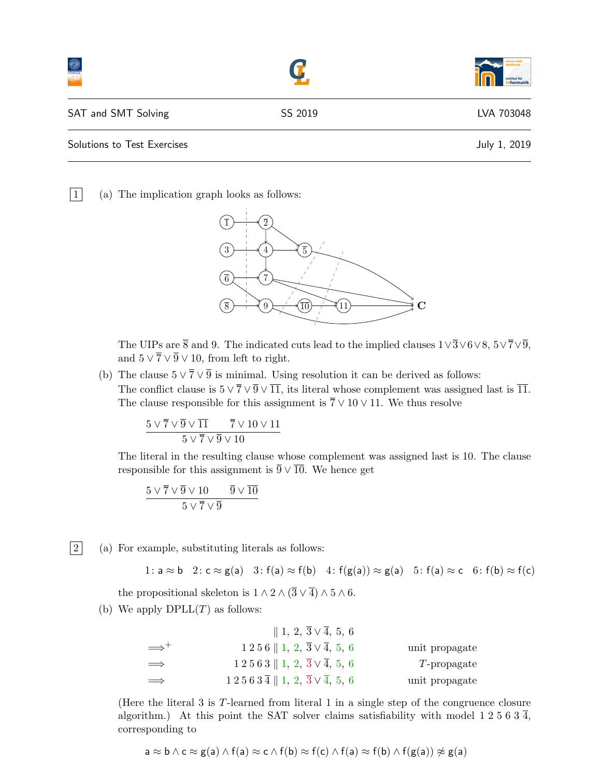|                             |         | institut für<br><b>formatik</b> |
|-----------------------------|---------|---------------------------------|
| SAT and SMT Solving         | SS 2019 | LVA 703048                      |
| Solutions to Test Exercises |         | July 1, 2019                    |

 $|1|$  (a) The implication graph looks as follows:



The UIPs are  $\bar{8}$  and 9. The indicated cuts lead to the implied clauses  $1\sqrt{3}\sqrt{6}\sqrt{8}$ ,  $5\sqrt{7}\sqrt{9}$ , and  $5 \vee \overline{7} \vee \overline{9} \vee 10$ , from left to right.

(b) The clause  $5 \vee \overline{7} \vee \overline{9}$  is minimal. Using resolution it can be derived as follows: The conflict clause is  $5 \vee \overline{7} \vee \overline{9} \vee \overline{11}$ , its literal whose complement was assigned last is  $\overline{11}$ . The clause responsible for this assignment is  $\overline{7} \vee 10 \vee 11$ . We thus resolve

$$
\frac{5\vee \overline{7}\vee \overline{9}\vee \overline{11}{5\vee \overline{7}\vee \overline{9}\vee 10\vee 11}{5\vee \overline{7}\vee \overline{9}\vee 10}
$$

The literal in the resulting clause whose complement was assigned last is 10. The clause responsible for this assignment is  $\overline{9} \vee \overline{10}$ . We hence get

$$
\frac{5\vee \overline{7}\vee \overline{9}\vee 10 \qquad \overline{9}\vee \overline{10}}{5\vee \overline{7}\vee \overline{9}}
$$

 $|2|$  (a) For example, substituting literals as follows:

1:  $a \approx b$  2:  $c \approx g(a)$  3:  $f(a) \approx f(b)$  4:  $f(g(a)) \approx g(a)$  5:  $f(a) \approx c$  6:  $f(b) \approx f(c)$ 

the propositional skeleton is  $1 \wedge 2 \wedge (\overline{3} \vee \overline{4}) \wedge 5 \wedge 6$ .

(b) We apply  $DPLL(T)$  as follows:

|                     | $\parallel$ 1, 2, $\overline{3} \vee \overline{4}$ , 5, 6                        |                |
|---------------------|----------------------------------------------------------------------------------|----------------|
| $\Longrightarrow^+$ | $1\,2\,5\,6\parallel1,\,2,\,\overline{3}\vee\overline{4},\,5,\,6$                | unit propagate |
| $\implies$          | $1\,2\,5\,6\,3\parallel1,\ 2,\ \overline{3}\vee\overline{4},\ 5,\ 6$             | $T$ -propagate |
| $\implies$          | $1\ 2\ 5\ 6\ 3\ \overline{4}\parallel 1, 2, \overline{3}\vee \overline{4}, 5, 6$ | unit propagate |

(Here the literal 3 is T-learned from literal 1 in a single step of the congruence closure algorithm.) At this point the SAT solver claims satisfiability with model 1 2 5 6 3  $\overline{4}$ , corresponding to

$$
a \approx b \land c \approx g(a) \land f(a) \approx c \land f(b) \approx f(c) \land f(a) \approx f(b) \land f(g(a)) \not\approx g(a)
$$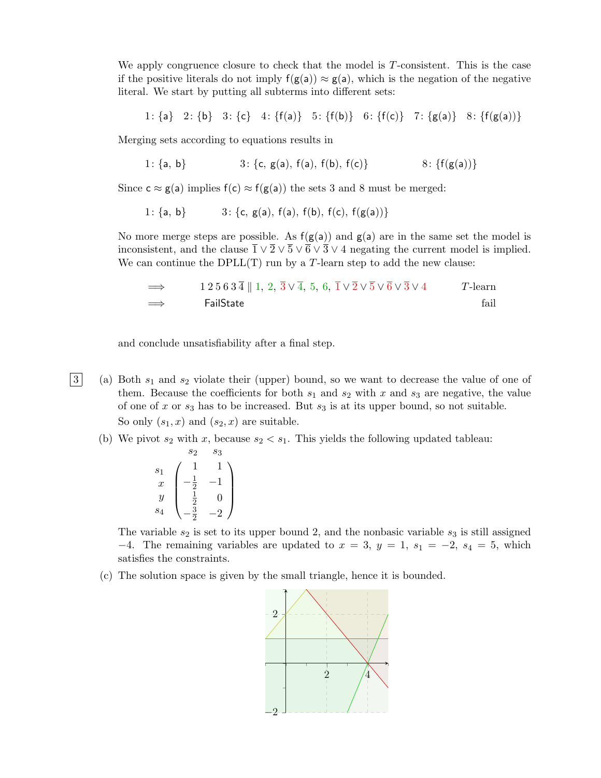We apply congruence closure to check that the model is  $T$ -consistent. This is the case if the positive literals do not imply  $f(g(a)) \approx g(a)$ , which is the negation of the negative literal. We start by putting all subterms into different sets:

1: {a} 2: {b} 3: {c} 4: {f(a)} 5: {f(b)} 6: {f(c)} 7: {g(a)} 8: {f(g(a))}

Merging sets according to equations results in

1: {a, b} 3: {c, g(a), f(a), f(b), f(c)} 8: {f(g(a))}

Since  $c \approx g(a)$  implies  $f(c) \approx f(g(a))$  the sets 3 and 8 must be merged:

1:  ${a, b}$  3:  ${c, g(a), f(a), f(b), f(c), f(g(a))}$ 

No more merge steps are possible. As  $f(g(a))$  and  $g(a)$  are in the same set the model is inconsistent, and the clause  $\bar{1} \vee \bar{2} \vee \bar{5} \vee \bar{6} \vee \bar{3} \vee 4$  negating the current model is implied. We can continue the DPLL $(T)$  run by a T-learn step to add the new clause:

$$
\implies \qquad 1\,2\,5\,6\,3\,\overline{4}\parallel 1,\,2,\,\overline{3}\,\vee\,\overline{4},\,5,\,6,\,\overline{1}\,\vee\,\overline{2}\,\vee\,\overline{5}\,\vee\,\overline{6}\,\vee\,\overline{3}\,\vee\,4\qquad T\text{-learn}
$$
\n
$$
\implies \qquad \text{TailState} \qquad \text{fail}
$$

and conclude unsatisfiability after a final step.

- $\begin{bmatrix}3\end{bmatrix}$  (a) Both  $s_1$  and  $s_2$  violate their (upper) bound, so we want to decrease the value of one of them. Because the coefficients for both  $s_1$  and  $s_2$  with x and  $s_3$  are negative, the value of one of x or  $s_3$  has to be increased. But  $s_3$  is at its upper bound, so not suitable. So only  $(s_1, x)$  and  $(s_2, x)$  are suitable.
	- (b) We pivot  $s_2$  with x, because  $s_2 < s_1$ . This yields the following updated tableau:

$$
\begin{array}{c}\ns_2 \quad s_3 \\
s_1 \\
x \\
y \\
s_4\n\end{array}\n\begin{pmatrix}\n1 & 1 \\
-\frac{1}{2} & -1 \\
\frac{1}{2} & 0 \\
-\frac{3}{2} & -2\n\end{pmatrix}
$$

The variable  $s_2$  is set to its upper bound 2, and the nonbasic variable  $s_3$  is still assigned  $-4$ . The remaining variables are updated to  $x = 3$ ,  $y = 1$ ,  $s_1 = -2$ ,  $s_4 = 5$ , which satisfies the constraints.

(c) The solution space is given by the small triangle, hence it is bounded.